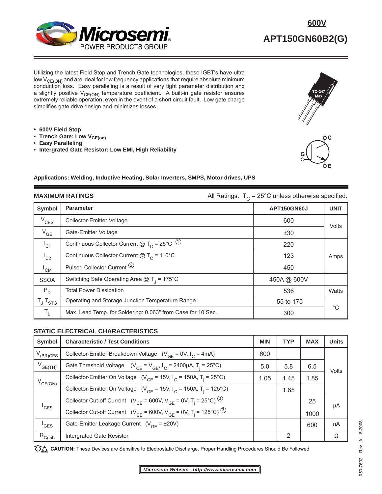

Utilizing the latest Field Stop and Trench Gate technologies, these IGBT's have ultra low  $V_{CE(ON)}$  and are ideal for low frequency applications that require absolute minimum conduction loss. Easy paralleling is a result of very tight parameter distribution and a slightly positive  $V_{CE(ON)}$  temperature coefficient. A built-in gate resistor ensures extremely reliable operation, even in the event of a short circuit fault. Low gate charge simplifies gate drive design and minimizes losses.

- **600V Field Stop**
- **Trench Gate: Low V<sub>CE(on)</sub>**
- **Easy Paralleling**
- **Intergrated Gate Resistor: Low EMI, High Reliability**



**E**

#### **Applications: Welding, Inductive Heating, Solar Inverters, SMPS, Motor drives, UPS**

| <b>MAXIMUM RATINGS</b> |                                                               | All Ratings: $T_c = 25^{\circ}$ C unless otherwise specified. |             |  |
|------------------------|---------------------------------------------------------------|---------------------------------------------------------------|-------------|--|
| Symbol                 | <b>Parameter</b>                                              | <b>APT150GN60J</b>                                            | <b>UNIT</b> |  |
| $V_{CES}$              | <b>Collector-Emitter Voltage</b>                              | 600                                                           | Volts       |  |
| $V_{GE}$               | Gate-Emitter Voltage                                          | ±30                                                           |             |  |
| $I_{C1}$               | Continuous Collector Current @ $T_c$ = 25°C $\textcircled{1}$ | 220                                                           |             |  |
| $I_{C2}$               | Continuous Collector Current $@T_c = 110°C$                   | 123                                                           | Amps        |  |
| $^{\mathsf{I}}$ CM     | Pulsed Collector Current <sup>(2)</sup>                       | 450                                                           |             |  |
| <b>SSOA</b>            | Switching Safe Operating Area $@T_1 = 175°C$                  | 450A@ 600V                                                    |             |  |
| $P_{D}$                | <b>Total Power Dissipation</b>                                | 536                                                           | Watts       |  |
| $T_{J}$ , $T_{STG}$    | Operating and Storage Junction Temperature Range              | $-55$ to 175                                                  | $^{\circ}C$ |  |
| $T_{\rm L}$            | Max. Lead Temp. for Soldering: 0.063" from Case for 10 Sec.   | 300                                                           |             |  |

### **STATIC ELECTRICAL CHARACTERISTICS**

| <b>Symbol</b>               | <b>Characteristic / Test Conditions</b>                                                            | <b>MIN</b> | <b>TYP</b> | <b>MAX</b> | <b>Units</b> |
|-----------------------------|----------------------------------------------------------------------------------------------------|------------|------------|------------|--------------|
| $V_{(BR)CES}$               | Collector-Emitter Breakdown Voltage $(V_{GF} = 0V, I_{C} = 4mA)$                                   | 600        |            |            |              |
| $V_{GE(TH)}$                | Gate Threshold Voltage $(V_{CF} = V_{GF}, I_C = 2400 \mu A, T_i = 25^{\circ}C)$                    | 5.0        | 5.8        | 6.5        | Volts        |
| $V_{CE(ON)}$                | Collector-Emitter On Voltage ( $V_{GF}$ = 15V, $I_{C}$ = 150A, T <sub>i</sub> = 25°C)              | 1.05       | 1.45       | 1.85       |              |
|                             | Collector-Emitter On Voltage ( $V_{GE}$ = 15V, $I_C$ = 150A, T <sub>i</sub> = 125°C)               |            | 1.65       |            |              |
| $\mathsf{I}_{\mathsf{CES}}$ | Collector Cut-off Current ( $V_{CE}$ = 600V, $V_{GF}$ = 0V, T <sub>i</sub> = 25°C) <sup>(3)</sup>  |            |            | 25         | μA           |
|                             | Collector Cut-off Current ( $V_{CE}$ = 600V, $V_{GE}$ = 0V, T <sub>i</sub> = 125°C) <sup>(3)</sup> |            |            | 1000       |              |
| <sup>'</sup> GES            | Gate-Emitter Leakage Current $(V_{GF} = \pm 20V)$                                                  |            |            | 600        | nA           |
| $R_{G(int)}$                | Intergrated Gate Resistor                                                                          |            | 2          |            | Ω            |

**CAUTION:** These Devices are Sensitive to Electrostatic Discharge. Proper Handling Procedures Should Be Followed.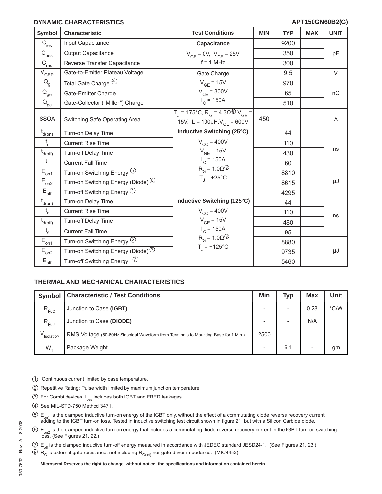## **DYNAMIC CHARACTERISTICS**

| <b>Symbol</b>                                                 | <b>Characteristic</b>                                    | <b>Test Conditions</b>                                                                                               | <b>MIN</b> | <b>TYP</b> | <b>MAX</b> | <b>UNIT</b> |
|---------------------------------------------------------------|----------------------------------------------------------|----------------------------------------------------------------------------------------------------------------------|------------|------------|------------|-------------|
| $\overline{C}_{\text{ies}}$                                   | Input Capacitance                                        | <b>Capacitance</b>                                                                                                   |            | 9200       |            |             |
| $\overline{C}_{\underline{oes}}$                              | <b>Output Capacitance</b>                                | $V_{GE}$ = 0V, $V_{CE}$ = 25V                                                                                        |            | 350        |            | pF          |
| $C_{\underline{res}}$                                         | Reverse Transfer Capacitance                             | $f = 1$ MHz                                                                                                          |            | 300        |            |             |
| $\overline{V}_{\underline{GEP}}$                              | Gate-to-Emitter Plateau Voltage                          | Gate Charge                                                                                                          |            | 9.5        |            | $\vee$      |
| $\mathsf{Q}_{\mathsf{g}}$                                     | Total Gate Charge 4                                      | $V_{GF}$ = 15V                                                                                                       |            | 970        |            |             |
| $\bar{\mathsf{Q}}_{\underline{\mathsf{ge}}}$                  | Gate-Emitter Charge                                      | $V_{CF}$ = 300V                                                                                                      |            | 65         |            | nC          |
| $Q_{\underline{\underline{\alpha}}\underline{\underline{c}}}$ | Gate-Collector ("Miller") Charge                         | $I_C$ = 150A                                                                                                         |            | 510        |            |             |
| <b>SSOA</b>                                                   | Switching Safe Operating Area                            | $T_1$ = 175°C, R <sub>G</sub> = 4.3Ω <sup>®</sup> , V <sub>GE</sub> =<br>15V, L = $100\mu$ H, V <sub>CE</sub> = 600V | 450        |            |            | A           |
| $t_{d(0n)}$                                                   | Turn-on Delay Time                                       | Inductive Switching (25°C)                                                                                           |            | 44         |            |             |
| t <sub>r</sub>                                                | <b>Current Rise Time</b>                                 | $V_{CC}$ = 400V                                                                                                      |            | 110        |            |             |
| $t_{d(off)}$                                                  | Turn-off Delay Time                                      | $V_{GE}$ = 15V                                                                                                       |            | 430        |            | ns          |
| $t_f$                                                         | <b>Current Fall Time</b>                                 | $I_{C}$ = 150A                                                                                                       |            | 60         |            |             |
| $E_{\underline{on1}}$                                         | Turn-on Switching Energy 5                               | $R_G = 1.0 \Omega$ <sup>⑧</sup>                                                                                      |            | 8810       |            |             |
| $E_{on2}$                                                     | Turn-on Switching Energy (Diode) $^{\circledR}$          | $T_1$ = +25°C                                                                                                        |            | 8615       |            | μJ          |
| $\mathsf{E}_{\mathsf{off}}$                                   | Turn-off Switching Energy $\heartsuit$                   |                                                                                                                      |            | 4295       |            |             |
| $t_{d(0n)}$                                                   | Turn-on Delay Time                                       | Inductive Switching (125°C)                                                                                          |            | 44         |            |             |
| $t_{\rm r}$                                                   | <b>Current Rise Time</b>                                 | $V_{CC}$ = 400V                                                                                                      |            | 110        |            | ns          |
| $t_{d(off)}$                                                  | Turn-off Delay Time                                      | $V_{GE}$ = 15V                                                                                                       |            | 480        |            |             |
| $t_{f}$                                                       | <b>Current Fall Time</b>                                 | $I_{C}$ = 150A                                                                                                       |            | 95         |            |             |
| $E_{\underline{on1}}$                                         | Turn-on Switching Energy 5                               | $R_G = 1.0 \Omega$ <sup>⑧</sup>                                                                                      |            | 8880       |            |             |
| $E_{\underline{on2}}$                                         | Turn-on Switching Energy (Diode) <sup><sup>6</sup></sup> | $T_1$ = +125°C                                                                                                       |            | 9735       |            | μJ          |
| $\mathsf{E}_{\mathsf{off}}$                                   | $\circled{7}$<br><b>Turn-off Switching Energy</b>        |                                                                                                                      |            | 5460       |            |             |

## **THERMAL AND MECHANICAL CHARACTERISTICS**

| Symbol         | <b>Characteristic / Test Conditions</b>                                             | Min  | Typ                      | <b>Max</b>               | Unit          |
|----------------|-------------------------------------------------------------------------------------|------|--------------------------|--------------------------|---------------|
| $R_{\theta$ JC | Junction to Case (IGBT)                                                             |      | $\overline{\phantom{a}}$ | 0.28                     | $\degree$ C/W |
| $R_{\theta$ JC | Junction to Case (DIODE)                                                            |      | $\overline{\phantom{a}}$ | N/A                      |               |
| V<br>Isolation | RMS Voltage (50-60Hz Sinsoidal Waveform from Terminals to Mounting Base for 1 Min.) | 2500 |                          |                          |               |
| $W_{+}$        | Package Weight                                                                      |      | 6.1                      | $\overline{\phantom{a}}$ | gm            |

- 1 Continuous current limited by case temperature.
- 2 Repetitive Rating: Pulse width limited by maximum junction temperature.
- 3 For Combi devices, I<sub>ces</sub> includes both IGBT and FRED leakages
- 4 See MIL-STD-750 Method 3471.
- $50 E_{on1}$  is the clamped inductive turn-on energy of the IGBT only, without the effect of a commutating diode reverse recovery current adding to the IGBT turn-on loss. Tested in inductive switching test circuit shown in f
- $6/$  E<sub>on2</sub> is the clamped inductive turn-on energy that includes a commutating diode reverse recovery current in the IGBT turn-on switching loss. (See Figures 21, 22.)
- $\circled{7}$  E<sub>off</sub> is the clamped inductive turn-off energy measured in accordance with JEDEC standard JESD24-1. (See Figures 21, 23.)
- $8 R<sub>G</sub>$  is external gate resistance, not including  $R<sub>G(int)</sub>$  nor gate driver impedance. (MIC4452)

**Microsemi Reserves the right to change, without notice, the specifi cations and information contained herein.**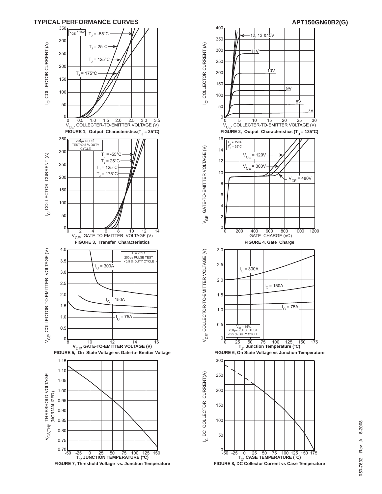



# 8-2008 050-7632 Rev A 8-2008  $\prec$ Rev 050-7632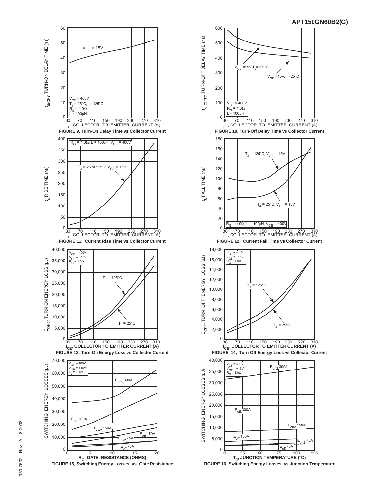



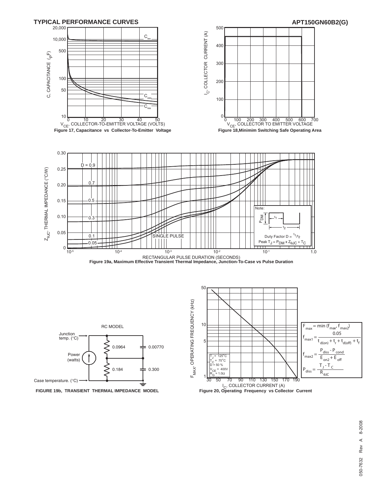